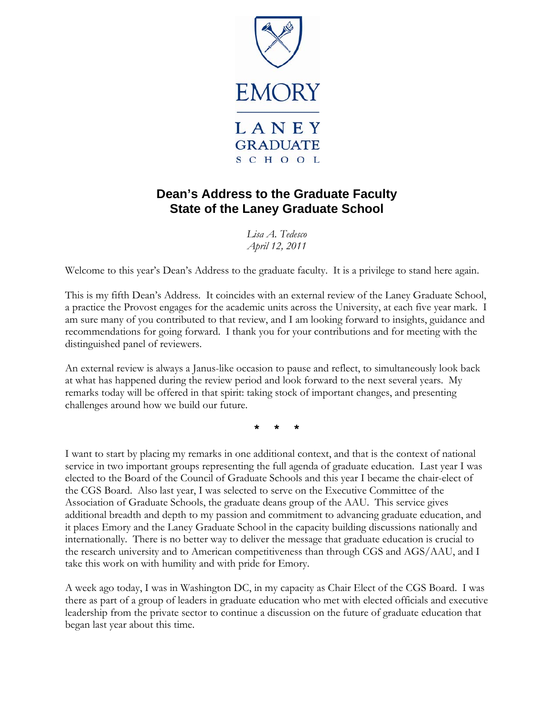

## **Dean's Address to the Graduate Faculty State of the Laney Graduate School**

*Lisa A. Tedesco April 12, 2011* 

Welcome to this year's Dean's Address to the graduate faculty. It is a privilege to stand here again.

This is my fifth Dean's Address. It coincides with an external review of the Laney Graduate School, a practice the Provost engages for the academic units across the University, at each five year mark. I am sure many of you contributed to that review, and I am looking forward to insights, guidance and recommendations for going forward. I thank you for your contributions and for meeting with the distinguished panel of reviewers.

An external review is always a Janus-like occasion to pause and reflect, to simultaneously look back at what has happened during the review period and look forward to the next several years. My remarks today will be offered in that spirit: taking stock of important changes, and presenting challenges around how we build our future.

\* \* \*

I want to start by placing my remarks in one additional context, and that is the context of national service in two important groups representing the full agenda of graduate education. Last year I was elected to the Board of the Council of Graduate Schools and this year I became the chair-elect of the CGS Board. Also last year, I was selected to serve on the Executive Committee of the Association of Graduate Schools, the graduate deans group of the AAU. This service gives additional breadth and depth to my passion and commitment to advancing graduate education, and it places Emory and the Laney Graduate School in the capacity building discussions nationally and internationally. There is no better way to deliver the message that graduate education is crucial to the research university and to American competitiveness than through CGS and AGS/AAU, and I take this work on with humility and with pride for Emory.

A week ago today, I was in Washington DC, in my capacity as Chair Elect of the CGS Board. I was there as part of a group of leaders in graduate education who met with elected officials and executive leadership from the private sector to continue a discussion on the future of graduate education that began last year about this time.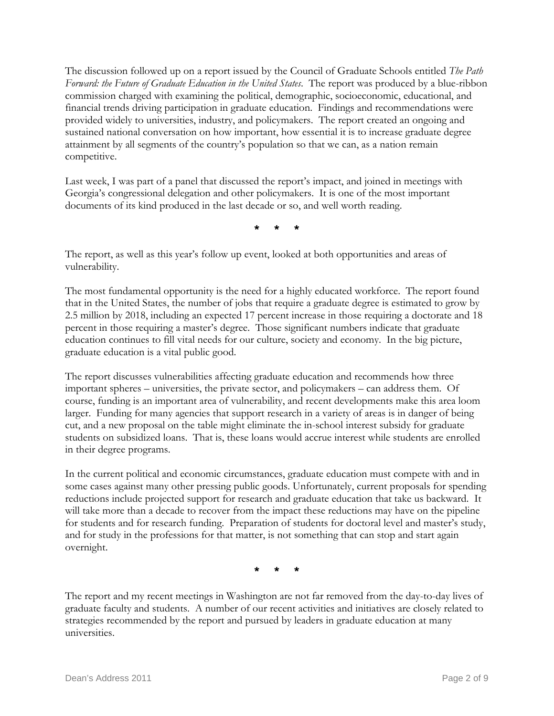The discussion followed up on a report issued by the Council of Graduate Schools entitled *The Path Forward: the Future of Graduate Education in the United States*. The report was produced by a blue-ribbon commission charged with examining the political, demographic, socioeconomic, educational, and financial trends driving participation in graduate education. Findings and recommendations were provided widely to universities, industry, and policymakers. The report created an ongoing and sustained national conversation on how important, how essential it is to increase graduate degree attainment by all segments of the country's population so that we can, as a nation remain competitive.

Last week, I was part of a panel that discussed the report's impact, and joined in meetings with Georgia's congressional delegation and other policymakers. It is one of the most important documents of its kind produced in the last decade or so, and well worth reading.

\* \* \*

The report, as well as this year's follow up event, looked at both opportunities and areas of vulnerability.

The most fundamental opportunity is the need for a highly educated workforce. The report found that in the United States, the number of jobs that require a graduate degree is estimated to grow by 2.5 million by 2018, including an expected 17 percent increase in those requiring a doctorate and 18 percent in those requiring a master's degree. Those significant numbers indicate that graduate education continues to fill vital needs for our culture, society and economy. In the big picture, graduate education is a vital public good.

The report discusses vulnerabilities affecting graduate education and recommends how three important spheres – universities, the private sector, and policymakers – can address them. Of course, funding is an important area of vulnerability, and recent developments make this area loom larger. Funding for many agencies that support research in a variety of areas is in danger of being cut, and a new proposal on the table might eliminate the in-school interest subsidy for graduate students on subsidized loans. That is, these loans would accrue interest while students are enrolled in their degree programs.

In the current political and economic circumstances, graduate education must compete with and in some cases against many other pressing public goods. Unfortunately, current proposals for spending reductions include projected support for research and graduate education that take us backward. It will take more than a decade to recover from the impact these reductions may have on the pipeline for students and for research funding. Preparation of students for doctoral level and master's study, and for study in the professions for that matter, is not something that can stop and start again overnight.

\* \* \*

The report and my recent meetings in Washington are not far removed from the day-to-day lives of graduate faculty and students. A number of our recent activities and initiatives are closely related to strategies recommended by the report and pursued by leaders in graduate education at many universities.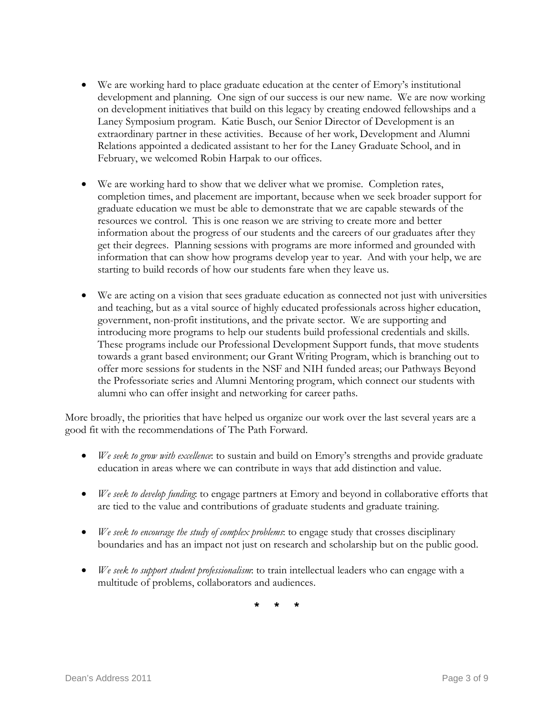- We are working hard to place graduate education at the center of Emory's institutional development and planning. One sign of our success is our new name. We are now working on development initiatives that build on this legacy by creating endowed fellowships and a Laney Symposium program. Katie Busch, our Senior Director of Development is an extraordinary partner in these activities. Because of her work, Development and Alumni Relations appointed a dedicated assistant to her for the Laney Graduate School, and in February, we welcomed Robin Harpak to our offices.
- We are working hard to show that we deliver what we promise. Completion rates, completion times, and placement are important, because when we seek broader support for graduate education we must be able to demonstrate that we are capable stewards of the resources we control. This is one reason we are striving to create more and better information about the progress of our students and the careers of our graduates after they get their degrees. Planning sessions with programs are more informed and grounded with information that can show how programs develop year to year. And with your help, we are starting to build records of how our students fare when they leave us.
- We are acting on a vision that sees graduate education as connected not just with universities and teaching, but as a vital source of highly educated professionals across higher education, government, non-profit institutions, and the private sector. We are supporting and introducing more programs to help our students build professional credentials and skills. These programs include our Professional Development Support funds, that move students towards a grant based environment; our Grant Writing Program, which is branching out to offer more sessions for students in the NSF and NIH funded areas; our Pathways Beyond the Professoriate series and Alumni Mentoring program, which connect our students with alumni who can offer insight and networking for career paths.

More broadly, the priorities that have helped us organize our work over the last several years are a good fit with the recommendations of The Path Forward.

- *We seek to grow with excellence*: to sustain and build on Emory's strengths and provide graduate education in areas where we can contribute in ways that add distinction and value.
- *We seek to develop funding*: to engage partners at Emory and beyond in collaborative efforts that are tied to the value and contributions of graduate students and graduate training.
- *We seek to encourage the study of complex problems*: to engage study that crosses disciplinary boundaries and has an impact not just on research and scholarship but on the public good.
- *We seek to support student professionalism*: to train intellectual leaders who can engage with a multitude of problems, collaborators and audiences.

\* \* \*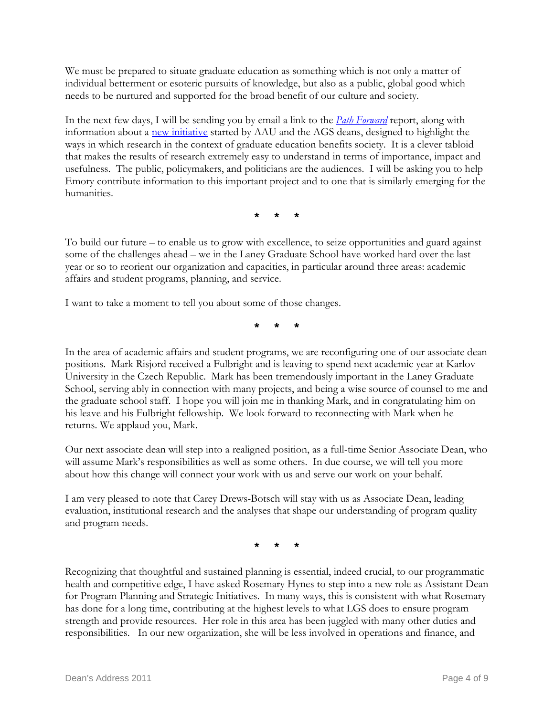We must be prepared to situate graduate education as something which is not only a matter of individual betterment or esoteric pursuits of knowledge, but also as a public, global good which needs to be nurtured and supported for the broad benefit of our culture and society.

In the next few days, I will be sending you by email a link to the *[Path Forward](http://www.fgereport.org/)* report, along with information about a [new initiative](http://www.aau.edu/research/societal_benefits.aspx?id=7304) started by AAU and the AGS deans, designed to highlight the ways in which research in the context of graduate education benefits society. It is a clever tabloid that makes the results of research extremely easy to understand in terms of importance, impact and usefulness. The public, policymakers, and politicians are the audiences. I will be asking you to help Emory contribute information to this important project and to one that is similarly emerging for the humanities.

\* \* \*

To build our future – to enable us to grow with excellence, to seize opportunities and guard against some of the challenges ahead – we in the Laney Graduate School have worked hard over the last year or so to reorient our organization and capacities, in particular around three areas: academic affairs and student programs, planning, and service.

I want to take a moment to tell you about some of those changes.

\* \* \*

In the area of academic affairs and student programs, we are reconfiguring one of our associate dean positions. Mark Risjord received a Fulbright and is leaving to spend next academic year at Karlov University in the Czech Republic. Mark has been tremendously important in the Laney Graduate School, serving ably in connection with many projects, and being a wise source of counsel to me and the graduate school staff. I hope you will join me in thanking Mark, and in congratulating him on his leave and his Fulbright fellowship. We look forward to reconnecting with Mark when he returns. We applaud you, Mark.

Our next associate dean will step into a realigned position, as a full-time Senior Associate Dean, who will assume Mark's responsibilities as well as some others. In due course, we will tell you more about how this change will connect your work with us and serve our work on your behalf.

I am very pleased to note that Carey Drews-Botsch will stay with us as Associate Dean, leading evaluation, institutional research and the analyses that shape our understanding of program quality and program needs.

 $\star$ 

Recognizing that thoughtful and sustained planning is essential, indeed crucial, to our programmatic health and competitive edge, I have asked Rosemary Hynes to step into a new role as Assistant Dean for Program Planning and Strategic Initiatives. In many ways, this is consistent with what Rosemary has done for a long time, contributing at the highest levels to what LGS does to ensure program strength and provide resources. Her role in this area has been juggled with many other duties and responsibilities. In our new organization, she will be less involved in operations and finance, and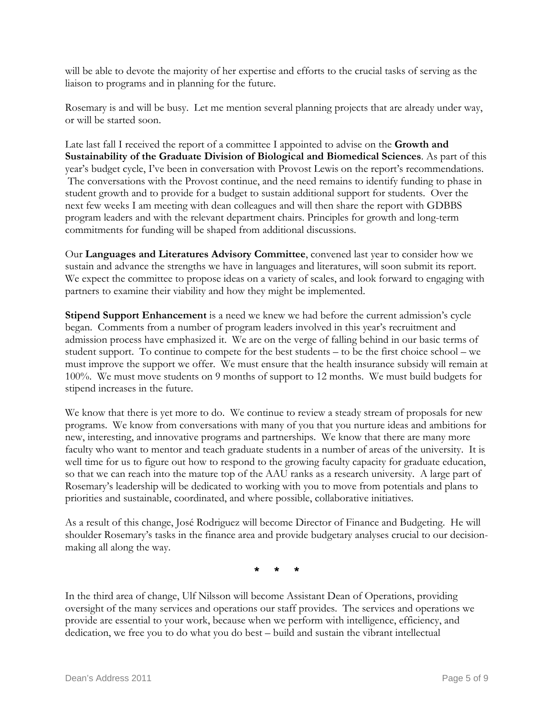will be able to devote the majority of her expertise and efforts to the crucial tasks of serving as the liaison to programs and in planning for the future.

Rosemary is and will be busy. Let me mention several planning projects that are already under way, or will be started soon.

Late last fall I received the report of a committee I appointed to advise on the **Growth and Sustainability of the Graduate Division of Biological and Biomedical Sciences**. As part of this year's budget cycle, I've been in conversation with Provost Lewis on the report's recommendations. The conversations with the Provost continue, and the need remains to identify funding to phase in student growth and to provide for a budget to sustain additional support for students. Over the next few weeks I am meeting with dean colleagues and will then share the report with GDBBS program leaders and with the relevant department chairs. Principles for growth and long-term commitments for funding will be shaped from additional discussions.

Our **Languages and Literatures Advisory Committee**, convened last year to consider how we sustain and advance the strengths we have in languages and literatures, will soon submit its report. We expect the committee to propose ideas on a variety of scales, and look forward to engaging with partners to examine their viability and how they might be implemented.

**Stipend Support Enhancement** is a need we knew we had before the current admission's cycle began. Comments from a number of program leaders involved in this year's recruitment and admission process have emphasized it. We are on the verge of falling behind in our basic terms of student support. To continue to compete for the best students – to be the first choice school – we must improve the support we offer. We must ensure that the health insurance subsidy will remain at 100%. We must move students on 9 months of support to 12 months. We must build budgets for stipend increases in the future.

We know that there is yet more to do. We continue to review a steady stream of proposals for new programs. We know from conversations with many of you that you nurture ideas and ambitions for new, interesting, and innovative programs and partnerships. We know that there are many more faculty who want to mentor and teach graduate students in a number of areas of the university. It is well time for us to figure out how to respond to the growing faculty capacity for graduate education, so that we can reach into the mature top of the AAU ranks as a research university. A large part of Rosemary's leadership will be dedicated to working with you to move from potentials and plans to priorities and sustainable, coordinated, and where possible, collaborative initiatives.

As a result of this change, José Rodriguez will become Director of Finance and Budgeting. He will shoulder Rosemary's tasks in the finance area and provide budgetary analyses crucial to our decisionmaking all along the way.

\* \* \*

In the third area of change, Ulf Nilsson will become Assistant Dean of Operations, providing oversight of the many services and operations our staff provides. The services and operations we provide are essential to your work, because when we perform with intelligence, efficiency, and dedication, we free you to do what you do best – build and sustain the vibrant intellectual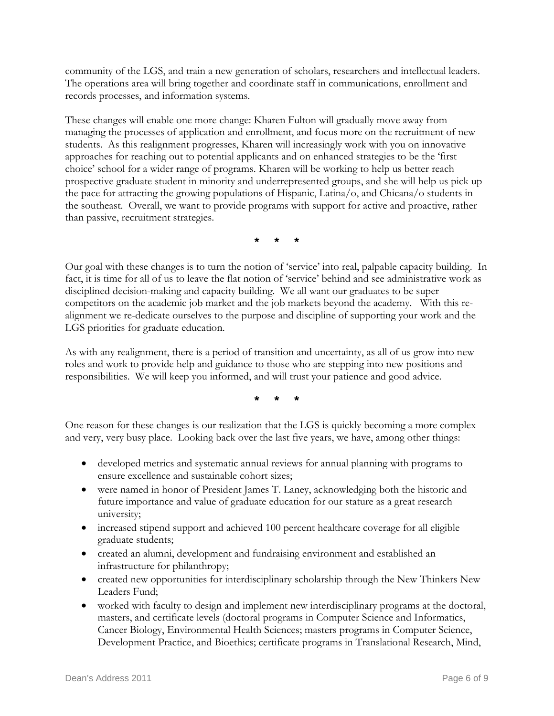community of the LGS, and train a new generation of scholars, researchers and intellectual leaders. The operations area will bring together and coordinate staff in communications, enrollment and records processes, and information systems.

These changes will enable one more change: Kharen Fulton will gradually move away from managing the processes of application and enrollment, and focus more on the recruitment of new students. As this realignment progresses, Kharen will increasingly work with you on innovative approaches for reaching out to potential applicants and on enhanced strategies to be the 'first choice' school for a wider range of programs. Kharen will be working to help us better reach prospective graduate student in minority and underrepresented groups, and she will help us pick up the pace for attracting the growing populations of Hispanic, Latina/o, and Chicana/o students in the southeast. Overall, we want to provide programs with support for active and proactive, rather than passive, recruitment strategies.

\* \* \*

Our goal with these changes is to turn the notion of 'service' into real, palpable capacity building. In fact, it is time for all of us to leave the flat notion of 'service' behind and see administrative work as disciplined decision-making and capacity building. We all want our graduates to be super competitors on the academic job market and the job markets beyond the academy. With this realignment we re-dedicate ourselves to the purpose and discipline of supporting your work and the LGS priorities for graduate education.

As with any realignment, there is a period of transition and uncertainty, as all of us grow into new roles and work to provide help and guidance to those who are stepping into new positions and responsibilities. We will keep you informed, and will trust your patience and good advice.

\* \* \*

One reason for these changes is our realization that the LGS is quickly becoming a more complex and very, very busy place. Looking back over the last five years, we have, among other things:

- developed metrics and systematic annual reviews for annual planning with programs to ensure excellence and sustainable cohort sizes;
- were named in honor of President James T. Laney, acknowledging both the historic and future importance and value of graduate education for our stature as a great research university;
- increased stipend support and achieved 100 percent healthcare coverage for all eligible graduate students;
- created an alumni, development and fundraising environment and established an infrastructure for philanthropy;
- created new opportunities for interdisciplinary scholarship through the New Thinkers New Leaders Fund;
- worked with faculty to design and implement new interdisciplinary programs at the doctoral, masters, and certificate levels (doctoral programs in Computer Science and Informatics, Cancer Biology, Environmental Health Sciences; masters programs in Computer Science, Development Practice, and Bioethics; certificate programs in Translational Research, Mind,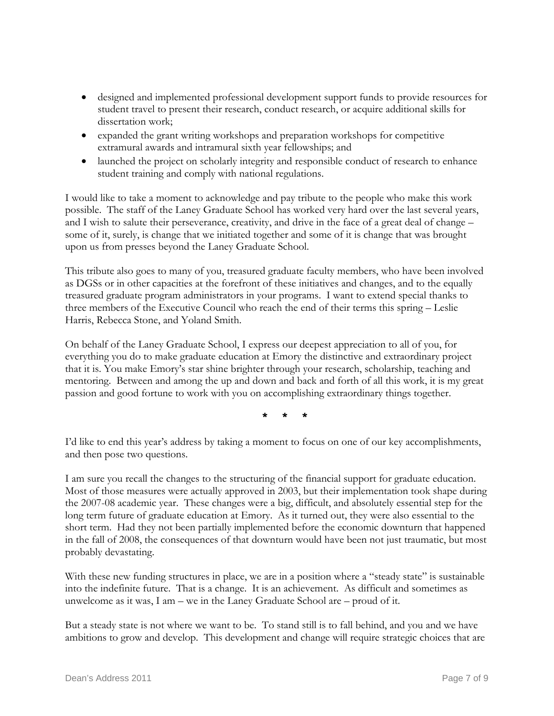- designed and implemented professional development support funds to provide resources for student travel to present their research, conduct research, or acquire additional skills for dissertation work:
- expanded the grant writing workshops and preparation workshops for competitive extramural awards and intramural sixth year fellowships; and
- launched the project on scholarly integrity and responsible conduct of research to enhance student training and comply with national regulations.

I would like to take a moment to acknowledge and pay tribute to the people who make this work possible. The staff of the Laney Graduate School has worked very hard over the last several years, and I wish to salute their perseverance, creativity, and drive in the face of a great deal of change – some of it, surely, is change that we initiated together and some of it is change that was brought upon us from presses beyond the Laney Graduate School.

This tribute also goes to many of you, treasured graduate faculty members, who have been involved as DGSs or in other capacities at the forefront of these initiatives and changes, and to the equally treasured graduate program administrators in your programs. I want to extend special thanks to three members of the Executive Council who reach the end of their terms this spring – Leslie Harris, Rebecca Stone, and Yoland Smith.

On behalf of the Laney Graduate School, I express our deepest appreciation to all of you, for everything you do to make graduate education at Emory the distinctive and extraordinary project that it is. You make Emory's star shine brighter through your research, scholarship, teaching and mentoring. Between and among the up and down and back and forth of all this work, it is my great passion and good fortune to work with you on accomplishing extraordinary things together.

\* \* \*

I'd like to end this year's address by taking a moment to focus on one of our key accomplishments, and then pose two questions.

I am sure you recall the changes to the structuring of the financial support for graduate education. Most of those measures were actually approved in 2003, but their implementation took shape during the 2007-08 academic year. These changes were a big, difficult, and absolutely essential step for the long term future of graduate education at Emory. As it turned out, they were also essential to the short term. Had they not been partially implemented before the economic downturn that happened in the fall of 2008, the consequences of that downturn would have been not just traumatic, but most probably devastating.

With these new funding structures in place, we are in a position where a "steady state" is sustainable into the indefinite future. That is a change. It is an achievement. As difficult and sometimes as unwelcome as it was, I am – we in the Laney Graduate School are – proud of it.

But a steady state is not where we want to be. To stand still is to fall behind, and you and we have ambitions to grow and develop. This development and change will require strategic choices that are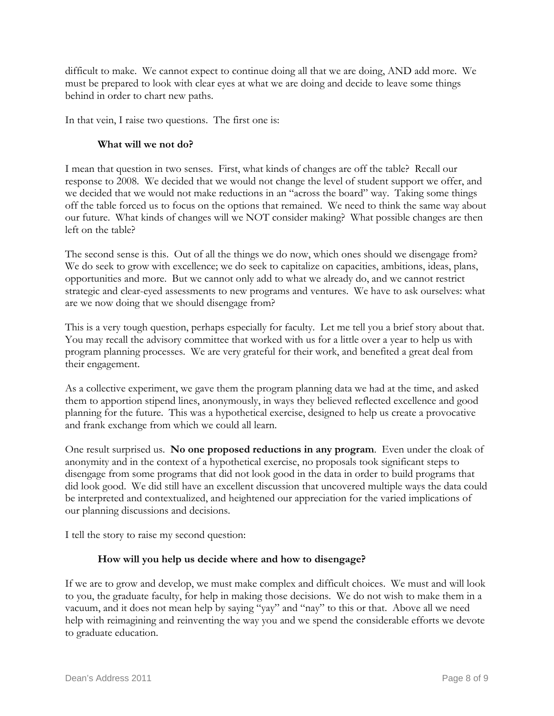difficult to make. We cannot expect to continue doing all that we are doing, AND add more. We must be prepared to look with clear eyes at what we are doing and decide to leave some things behind in order to chart new paths.

In that vein, I raise two questions. The first one is:

## **What will we not do?**

I mean that question in two senses. First, what kinds of changes are off the table? Recall our response to 2008. We decided that we would not change the level of student support we offer, and we decided that we would not make reductions in an "across the board" way. Taking some things off the table forced us to focus on the options that remained. We need to think the same way about our future. What kinds of changes will we NOT consider making? What possible changes are then left on the table?

The second sense is this. Out of all the things we do now, which ones should we disengage from? We do seek to grow with excellence; we do seek to capitalize on capacities, ambitions, ideas, plans, opportunities and more. But we cannot only add to what we already do, and we cannot restrict strategic and clear-eyed assessments to new programs and ventures. We have to ask ourselves: what are we now doing that we should disengage from?

This is a very tough question, perhaps especially for faculty. Let me tell you a brief story about that. You may recall the advisory committee that worked with us for a little over a year to help us with program planning processes. We are very grateful for their work, and benefited a great deal from their engagement.

As a collective experiment, we gave them the program planning data we had at the time, and asked them to apportion stipend lines, anonymously, in ways they believed reflected excellence and good planning for the future. This was a hypothetical exercise, designed to help us create a provocative and frank exchange from which we could all learn.

One result surprised us. **No one proposed reductions in any program**. Even under the cloak of anonymity and in the context of a hypothetical exercise, no proposals took significant steps to disengage from some programs that did not look good in the data in order to build programs that did look good. We did still have an excellent discussion that uncovered multiple ways the data could be interpreted and contextualized, and heightened our appreciation for the varied implications of our planning discussions and decisions.

I tell the story to raise my second question:

## **How will you help us decide where and how to disengage?**

If we are to grow and develop, we must make complex and difficult choices. We must and will look to you, the graduate faculty, for help in making those decisions. We do not wish to make them in a vacuum, and it does not mean help by saying "yay" and "nay" to this or that. Above all we need help with reimagining and reinventing the way you and we spend the considerable efforts we devote to graduate education.